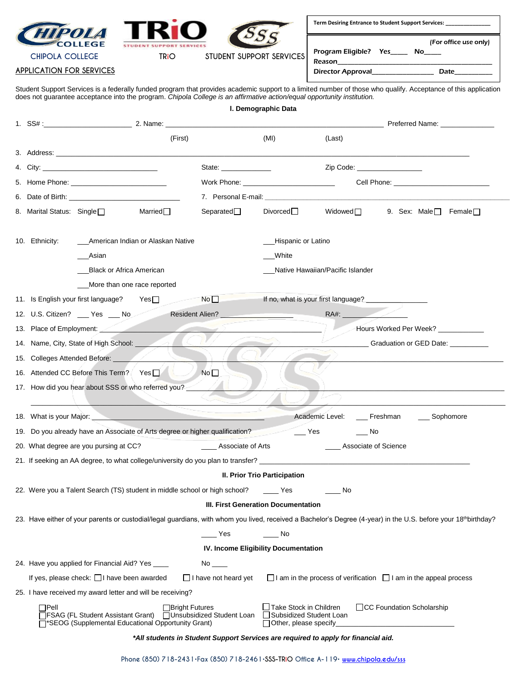|                                                                                                                         | <b>STUDENT SUPPORT SERVICE</b>    |                                      |                                                                                         |                                     | (For office use only)                                                                                                                                                                                                         |  |
|-------------------------------------------------------------------------------------------------------------------------|-----------------------------------|--------------------------------------|-----------------------------------------------------------------------------------------|-------------------------------------|-------------------------------------------------------------------------------------------------------------------------------------------------------------------------------------------------------------------------------|--|
| <b>CHIPOLA COLLEGE</b><br><b>TRIO</b>                                                                                   |                                   | STUDENT SUPPORT SERVICES             |                                                                                         | Program Eligible? Yes______ No_____ |                                                                                                                                                                                                                               |  |
| <b>APPLICATION FOR SERVICES</b>                                                                                         |                                   |                                      |                                                                                         |                                     |                                                                                                                                                                                                                               |  |
|                                                                                                                         |                                   |                                      |                                                                                         |                                     | Student Support Services is a federally funded program that provides academic support to a limited number of those who qualify. Acceptance of this application                                                                |  |
| does not guarantee acceptance into the program. Chipola College is an affirmative action/equal opportunity institution. |                                   |                                      |                                                                                         |                                     |                                                                                                                                                                                                                               |  |
|                                                                                                                         |                                   |                                      | I. Demographic Data                                                                     |                                     |                                                                                                                                                                                                                               |  |
|                                                                                                                         |                                   |                                      |                                                                                         |                                     | 1. SS#: Preferred Name: 2. Name: 2. Name: 2. Name: 2. Name: 2. Name: 2. Name: 2. Name: 2. Name: 2. Name: 2. Name: 2. Name: 2. Name: 2. Name: 2. Name: 2. Name: 2. Name: 2. Name: 2. Name: 2. Name: 2. Name: 2. Name: 2. Name: |  |
|                                                                                                                         | (First)                           |                                      | (MI)                                                                                    | (Last)                              |                                                                                                                                                                                                                               |  |
|                                                                                                                         |                                   |                                      |                                                                                         |                                     |                                                                                                                                                                                                                               |  |
|                                                                                                                         |                                   | State: _______________               |                                                                                         | Zip Code: __________________        |                                                                                                                                                                                                                               |  |
|                                                                                                                         |                                   |                                      | 7. Personal E-mail: <u>Cambridge Communication</u> Contract Communication Communication |                                     |                                                                                                                                                                                                                               |  |
|                                                                                                                         |                                   |                                      |                                                                                         |                                     |                                                                                                                                                                                                                               |  |
| 8. Marital Status: Single□                                                                                              | Married $\Box$                    | Separated                            | Divored                                                                                 |                                     | Widowed $\Box$ 9. Sex: Male $\Box$<br>Female $\Box$                                                                                                                                                                           |  |
| 10. Ethnicity:                                                                                                          | American Indian or Alaskan Native |                                      | __Hispanic or Latino                                                                    |                                     |                                                                                                                                                                                                                               |  |
|                                                                                                                         |                                   |                                      |                                                                                         |                                     |                                                                                                                                                                                                                               |  |
|                                                                                                                         | Asian                             |                                      |                                                                                         | White                               |                                                                                                                                                                                                                               |  |
| <b>Black or Africa American</b>                                                                                         |                                   |                                      |                                                                                         | Native Hawaiian/Pacific Islander    |                                                                                                                                                                                                                               |  |
| __More than one race reported                                                                                           |                                   |                                      |                                                                                         |                                     |                                                                                                                                                                                                                               |  |
| 11. Is English your first language? Yes $\Box$                                                                          |                                   | No                                   |                                                                                         |                                     |                                                                                                                                                                                                                               |  |
| 12. U.S. Citizen? ___ Yes ___ No                                                                                        |                                   | Resident Alien?                      |                                                                                         | RA#                                 |                                                                                                                                                                                                                               |  |
| 13. Place of Employment: 13. Place of Employment:                                                                       |                                   | the property of the con-             |                                                                                         |                                     | Hours Worked Per Week?                                                                                                                                                                                                        |  |
| 14. Name, City, State of High School: _____                                                                             |                                   |                                      |                                                                                         |                                     | Craduation or GED Date: _________                                                                                                                                                                                             |  |
| 15. Colleges Attended Before: _____                                                                                     |                                   |                                      |                                                                                         |                                     |                                                                                                                                                                                                                               |  |
| 16. Attended CC Before This Term? Yes                                                                                   |                                   | No <sub>1</sub>                      |                                                                                         |                                     |                                                                                                                                                                                                                               |  |
| 17. How did you hear about SSS or who referred you?                                                                     |                                   |                                      |                                                                                         |                                     |                                                                                                                                                                                                                               |  |
|                                                                                                                         |                                   |                                      |                                                                                         |                                     |                                                                                                                                                                                                                               |  |
| 18. What is your Major: 18.                                                                                             |                                   |                                      |                                                                                         | Academic Level: ____ Freshman       | ___ Sophomore                                                                                                                                                                                                                 |  |
| 19. Do you already have an Associate of Arts degree or higher qualification?                                            |                                   |                                      |                                                                                         | ___ Yes<br>$\equiv$ No              |                                                                                                                                                                                                                               |  |
| 20. What degree are you pursing at CC?                                                                                  |                                   | <b>Associate of Arts</b>             |                                                                                         | Associate of Science                |                                                                                                                                                                                                                               |  |
|                                                                                                                         |                                   |                                      |                                                                                         |                                     |                                                                                                                                                                                                                               |  |
|                                                                                                                         |                                   |                                      | <b>II. Prior Trio Participation</b>                                                     |                                     |                                                                                                                                                                                                                               |  |
| 22. Were you a Talent Search (TS) student in middle school or high school?                                              |                                   |                                      | ____ Yes                                                                                | No.                                 |                                                                                                                                                                                                                               |  |
|                                                                                                                         |                                   |                                      | III. First Generation Documentation                                                     |                                     |                                                                                                                                                                                                                               |  |
|                                                                                                                         |                                   |                                      |                                                                                         |                                     | 23. Have either of your parents or custodial/legal guardians, with whom you lived, received a Bachelor's Degree (4-year) in the U.S. before your 18 <sup>th</sup> birthday?                                                   |  |
|                                                                                                                         |                                   | $\rule{1em}{0.15mm}$ Yes             | $\rule{1em}{0.15mm}$ No                                                                 |                                     |                                                                                                                                                                                                                               |  |
|                                                                                                                         |                                   | IV. Income Eligibility Documentation |                                                                                         |                                     |                                                                                                                                                                                                                               |  |
| 24. Have you applied for Financial Aid? Yes ____                                                                        |                                   |                                      |                                                                                         |                                     |                                                                                                                                                                                                                               |  |
| If yes, please check: □ I have been awarded                                                                             |                                   | I have not heard yet                 |                                                                                         |                                     | $\Box$ I am in the process of verification $\Box$ I am in the appeal process                                                                                                                                                  |  |
| 25. I have received my award letter and will be receiving?                                                              |                                   |                                      |                                                                                         |                                     |                                                                                                                                                                                                                               |  |
| $\Box$ Pell<br>□FSAG (FL Student Assistant Grant) □Unsubsidized Student Loan □Subsidized Student Loan                   | <b>⊟Bright Futures</b>            |                                      | □ Take Stock in Children                                                                |                                     | □CC Foundation Scholarship                                                                                                                                                                                                    |  |

**Term Desiring Entrance to Student Support Services: \_\_\_\_\_\_\_\_\_\_\_\_\_\_\_**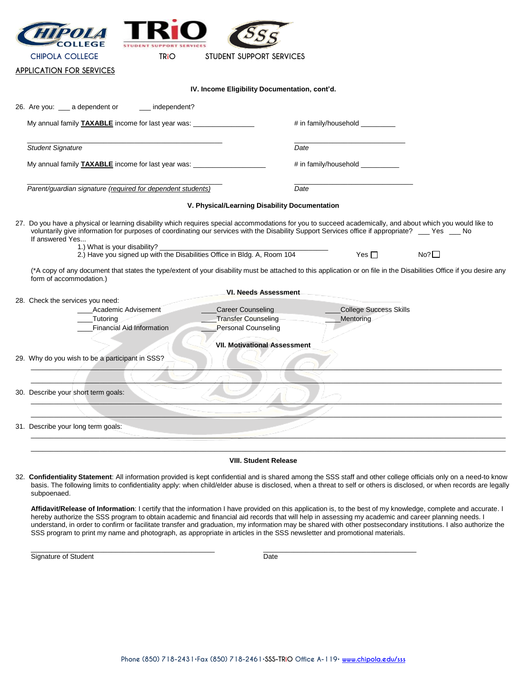| FGF                                                                                                                                                                                                                                                                                                                                                                                                                                                                                                                                                                                                                                               |                                               |                        |     |  |
|---------------------------------------------------------------------------------------------------------------------------------------------------------------------------------------------------------------------------------------------------------------------------------------------------------------------------------------------------------------------------------------------------------------------------------------------------------------------------------------------------------------------------------------------------------------------------------------------------------------------------------------------------|-----------------------------------------------|------------------------|-----|--|
| <b>CHIPOLA COLLEGE</b><br><b>TRIO</b>                                                                                                                                                                                                                                                                                                                                                                                                                                                                                                                                                                                                             | STUDENT SUPPORT SERVICES                      |                        |     |  |
| <b>APPLICATION FOR SERVICES</b>                                                                                                                                                                                                                                                                                                                                                                                                                                                                                                                                                                                                                   |                                               |                        |     |  |
|                                                                                                                                                                                                                                                                                                                                                                                                                                                                                                                                                                                                                                                   | IV. Income Eligibility Documentation, cont'd. |                        |     |  |
|                                                                                                                                                                                                                                                                                                                                                                                                                                                                                                                                                                                                                                                   |                                               |                        |     |  |
| 26. Are you: __ a dependent or<br>__ independent?                                                                                                                                                                                                                                                                                                                                                                                                                                                                                                                                                                                                 |                                               |                        |     |  |
| My annual family TAXABLE income for last year was:                                                                                                                                                                                                                                                                                                                                                                                                                                                                                                                                                                                                | # in family/household                         |                        |     |  |
| <b>Student Signature</b>                                                                                                                                                                                                                                                                                                                                                                                                                                                                                                                                                                                                                          | Date                                          |                        |     |  |
| My annual family TAXABLE income for last year was:                                                                                                                                                                                                                                                                                                                                                                                                                                                                                                                                                                                                | # in family/household ___________             |                        |     |  |
| Parent/guardian signature (required for dependent students)                                                                                                                                                                                                                                                                                                                                                                                                                                                                                                                                                                                       |                                               | Date                   |     |  |
|                                                                                                                                                                                                                                                                                                                                                                                                                                                                                                                                                                                                                                                   | V. Physical/Learning Disability Documentation |                        |     |  |
| 27. Do you have a physical or learning disability which requires special accommodations for you to succeed academically, and about which you would like to<br>voluntarily give information for purposes of coordinating our services with the Disability Support Services office if appropriate? ___ Yes ___ No<br>If answered Yes<br>1.) What is your disability?<br>2.) Have you signed up with the Disabilities Office in Bldg. A, Room 104<br>(*A copy of any document that states the type/extent of your disability must be attached to this application or on file in the Disabilities Office if you desire any<br>form of accommodation.) |                                               | Yes $\Box$             | No? |  |
|                                                                                                                                                                                                                                                                                                                                                                                                                                                                                                                                                                                                                                                   | <b>VI. Needs Assessment</b>                   |                        |     |  |
| 28. Check the services you need:<br>Academic Advisement                                                                                                                                                                                                                                                                                                                                                                                                                                                                                                                                                                                           | <b>Career Counseling</b>                      | College Success Skills |     |  |
| Tutoring                                                                                                                                                                                                                                                                                                                                                                                                                                                                                                                                                                                                                                          | Transfer Counseling                           | <b>Mentoring</b>       |     |  |
| <b>Financial Aid Information</b>                                                                                                                                                                                                                                                                                                                                                                                                                                                                                                                                                                                                                  | Personal Counseling                           |                        |     |  |
|                                                                                                                                                                                                                                                                                                                                                                                                                                                                                                                                                                                                                                                   | <b>VII. Motivational Assessment</b>           |                        |     |  |
| 29. Why do you wish to be a participant in SSS?                                                                                                                                                                                                                                                                                                                                                                                                                                                                                                                                                                                                   |                                               |                        |     |  |
|                                                                                                                                                                                                                                                                                                                                                                                                                                                                                                                                                                                                                                                   |                                               |                        |     |  |
| 30. Describe your short term goals:                                                                                                                                                                                                                                                                                                                                                                                                                                                                                                                                                                                                               |                                               |                        |     |  |
|                                                                                                                                                                                                                                                                                                                                                                                                                                                                                                                                                                                                                                                   |                                               |                        |     |  |
| 31. Describe your long term goals:                                                                                                                                                                                                                                                                                                                                                                                                                                                                                                                                                                                                                |                                               |                        |     |  |
|                                                                                                                                                                                                                                                                                                                                                                                                                                                                                                                                                                                                                                                   |                                               |                        |     |  |
|                                                                                                                                                                                                                                                                                                                                                                                                                                                                                                                                                                                                                                                   | <b>VIII. Student Release</b>                  |                        |     |  |

32. **Confidentiality Statement**: All information provided is kept confidential and is shared among the SSS staff and other college officials only on a need-to know basis. The following limits to confidentiality apply: when child/elder abuse is disclosed, when a threat to self or others is disclosed, or when records are legally subpoenaed.

**Affidavit/Release of Information**: I certify that the information I have provided on this application is, to the best of my knowledge, complete and accurate. I hereby authorize the SSS program to obtain academic and financial aid records that will help in assessing my academic and career planning needs. I understand, in order to confirm or facilitate transfer and graduation, my information may be shared with other postsecondary institutions. I also authorize the SSS program to print my name and photograph, as appropriate in articles in the SSS newsletter and promotional materials.

Signature of Student Date Date Date

 $\_$  ,  $\_$  ,  $\_$  ,  $\_$  ,  $\_$  ,  $\_$  ,  $\_$  ,  $\_$  ,  $\_$  ,  $\_$  ,  $\_$  ,  $\_$  ,  $\_$  ,  $\_$  ,  $\_$  ,  $\_$  ,  $\_$  ,  $\_$  ,  $\_$  ,  $\_$